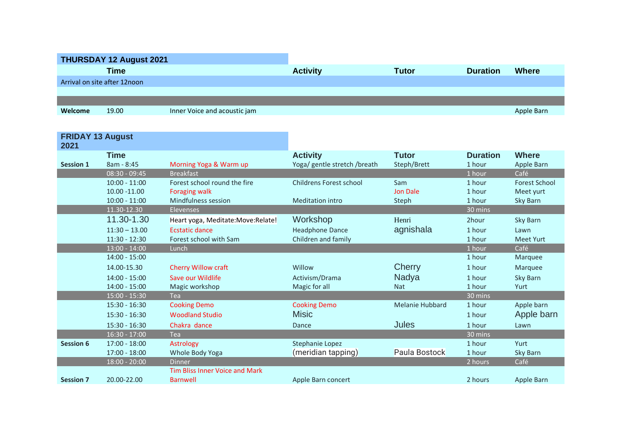| THURSDAY 12 August 2021      |             |                              |                 |       |                 |              |  |  |
|------------------------------|-------------|------------------------------|-----------------|-------|-----------------|--------------|--|--|
|                              | <b>Time</b> |                              | <b>Activity</b> | Tutor | <b>Duration</b> | <b>Where</b> |  |  |
| Arrival on site after 12noon |             |                              |                 |       |                 |              |  |  |
|                              |             |                              |                 |       |                 |              |  |  |
|                              |             |                              |                 |       |                 |              |  |  |
| Welcome                      | 19.00       | Inner Voice and acoustic jam |                 |       |                 | Apple Barn   |  |  |

| <b>FRIDAY 13 August</b><br>2021 |                 |                                       |                              |                        |                 |                      |
|---------------------------------|-----------------|---------------------------------------|------------------------------|------------------------|-----------------|----------------------|
|                                 | <b>Time</b>     |                                       | <b>Activity</b>              | <b>Tutor</b>           | <b>Duration</b> | <b>Where</b>         |
| <b>Session 1</b>                | 8am - 8:45      | Morning Yoga & Warm up                | Yoga/ gentle stretch /breath | Steph/Brett            | 1 hour          | Apple Barn           |
|                                 | 08:30 - 09:45   | <b>Breakfast</b>                      |                              |                        | 1 hour          | Café                 |
|                                 | $10:00 - 11:00$ | Forest school round the fire          | Childrens Forest school      | Sam                    | 1 hour          | <b>Forest School</b> |
|                                 | 10.00 - 11.00   | <b>Foraging walk</b>                  |                              | <b>Jon Dale</b>        | 1 hour          | Meet yurt            |
|                                 | $10:00 - 11:00$ | Mindfulness session                   | <b>Meditation intro</b>      | Steph                  | 1 hour          | Sky Barn             |
|                                 | 11.30-12.30     | <b>Elevenses</b>                      |                              |                        | 30 mins         |                      |
|                                 | 11.30-1.30      | Heart yoga, Meditate: Move: Relate!   | Workshop                     | Henri                  | 2hour           | Sky Barn             |
|                                 | $11:30 - 13.00$ | <b>Ecstatic dance</b>                 | <b>Headphone Dance</b>       | agnishala              | 1 hour          | Lawn                 |
|                                 | $11:30 - 12:30$ | Forest school with Sam                | Children and family          |                        | 1 hour          | <b>Meet Yurt</b>     |
|                                 | $13:00 - 14:00$ | Lunch                                 |                              |                        | 1 hour          | Café                 |
|                                 | 14:00 - 15:00   |                                       |                              |                        | 1 hour          | Marquee              |
|                                 | 14.00-15.30     | <b>Cherry Willow craft</b>            | Willow                       | Cherry                 | 1 hour          | Marquee              |
|                                 | $14:00 - 15:00$ | Save our Wildlife                     | Activism/Drama               | Nadya                  | 1 hour          | Sky Barn             |
|                                 | $14:00 - 15:00$ | Magic workshop                        | Magic for all                | <b>Nat</b>             | 1 hour          | Yurt                 |
|                                 | $15:00 - 15:30$ | <b>Tea</b>                            |                              |                        | 30 mins         |                      |
|                                 | $15:30 - 16:30$ | <b>Cooking Demo</b>                   | <b>Cooking Demo</b>          | <b>Melanie Hubbard</b> | 1 hour          | Apple barn           |
|                                 | $15:30 - 16:30$ | <b>Woodland Studio</b>                | <b>Misic</b>                 |                        | 1 hour          | Apple barn           |
|                                 | $15:30 - 16:30$ | Chakra dance                          | Dance                        | <b>Jules</b>           | 1 hour          | Lawn                 |
|                                 | $16:30 - 17:00$ | Tea                                   |                              |                        | 30 mins         |                      |
| <b>Session 6</b>                | $17:00 - 18:00$ | Astrology                             | Stephanie Lopez              |                        | 1 hour          | Yurt                 |
|                                 | $17:00 - 18:00$ | Whole Body Yoga                       | (meridian tapping)           | Paula Bostock          | 1 hour          | Sky Barn             |
|                                 | 18:00 - 20:00   | <b>Dinner</b>                         |                              |                        | 2 hours         | Café                 |
|                                 |                 | <b>Tim Bliss Inner Voice and Mark</b> |                              |                        |                 |                      |
| <b>Session 7</b>                | 20.00-22.00     | <b>Barnwell</b>                       | Apple Barn concert           |                        | 2 hours         | Apple Barn           |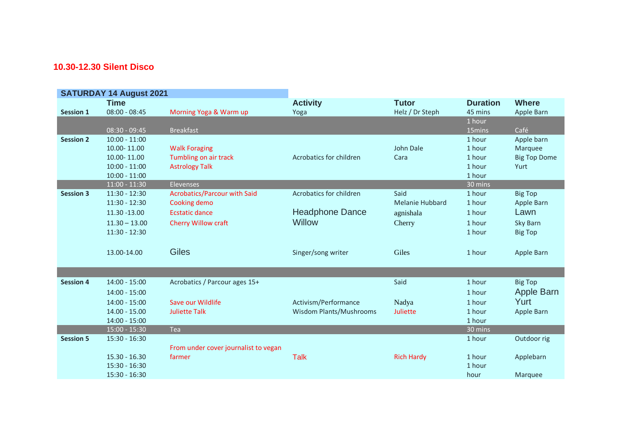## **10.30-12.30 Silent Disco**

| <b>SATURDAY 14 August 2021</b> |                 |                                      |                                |                        |                 |                     |
|--------------------------------|-----------------|--------------------------------------|--------------------------------|------------------------|-----------------|---------------------|
|                                | <b>Time</b>     |                                      | <b>Activity</b>                | <b>Tutor</b>           | <b>Duration</b> | <b>Where</b>        |
| <b>Session 1</b>               | $08:00 - 08:45$ | Morning Yoga & Warm up               | Yoga                           | Helz / Dr Steph        | 45 mins         | Apple Barn          |
|                                |                 |                                      |                                |                        | 1 hour          |                     |
|                                | $08:30 - 09:45$ | <b>Breakfast</b>                     |                                |                        | 15mins          | Café                |
| <b>Session 2</b>               | $10:00 - 11:00$ |                                      |                                |                        | 1 hour          | Apple barn          |
|                                | 10.00-11.00     | <b>Walk Foraging</b>                 |                                | John Dale              | 1 hour          | Marquee             |
|                                | 10.00-11.00     | Tumbling on air track                | Acrobatics for children        | Cara                   | 1 hour          | <b>Big Top Dome</b> |
|                                | $10:00 - 11:00$ | <b>Astrology Talk</b>                |                                |                        | 1 hour          | Yurt                |
|                                | $10:00 - 11:00$ |                                      |                                |                        | 1 hour          |                     |
|                                | $11:00 - 11:30$ | Elevenses                            |                                |                        | 30 mins         |                     |
| <b>Session 3</b>               | $11:30 - 12:30$ | <b>Acrobatics/Parcour with Said</b>  | Acrobatics for children        | Said                   | 1 hour          | <b>Big Top</b>      |
|                                | 11:30 - 12:30   | Cooking demo                         |                                | <b>Melanie Hubbard</b> | 1 hour          | Apple Barn          |
|                                | 11.30 - 13.00   | <b>Ecstatic dance</b>                | <b>Headphone Dance</b>         | agnishala              | 1 hour          | Lawn                |
|                                | $11.30 - 13.00$ | Cherry Willow craft                  | Willow                         | Cherry                 | 1 hour          | Sky Barn            |
|                                | 11:30 - 12:30   |                                      |                                |                        | 1 hour          | <b>Big Top</b>      |
|                                |                 |                                      |                                |                        |                 |                     |
|                                | 13.00-14.00     | <b>Giles</b>                         | Singer/song writer             | Giles                  | 1 hour          | Apple Barn          |
|                                |                 |                                      |                                |                        |                 |                     |
|                                |                 |                                      |                                |                        |                 |                     |
| <b>Session 4</b>               | $14:00 - 15:00$ | Acrobatics / Parcour ages 15+        |                                | Said                   | 1 hour          | <b>Big Top</b>      |
|                                | $14:00 - 15:00$ |                                      |                                |                        | 1 hour          | Apple Barn          |
|                                | $14:00 - 15:00$ | Save our Wildlife                    | Activism/Performance           | Nadya                  | 1 hour          | Yurt                |
|                                | $14.00 - 15.00$ | <b>Juliette Talk</b>                 | <b>Wisdom Plants/Mushrooms</b> | Juliette               | 1 hour          | Apple Barn          |
|                                | $14:00 - 15:00$ |                                      |                                |                        | 1 hour          |                     |
|                                | $15:00 - 15:30$ | Tea                                  |                                |                        | 30 mins         |                     |
| <b>Session 5</b>               | $15:30 - 16:30$ |                                      |                                |                        | 1 hour          | Outdoor rig         |
|                                |                 | From under cover journalist to vegan |                                |                        |                 |                     |
|                                | $15.30 - 16.30$ | farmer                               | <b>Talk</b>                    | <b>Rich Hardy</b>      | 1 hour          | Applebarn           |
|                                | 15:30 - 16:30   |                                      |                                |                        | 1 hour          |                     |
|                                | $15:30 - 16:30$ |                                      |                                |                        | hour            | Marquee             |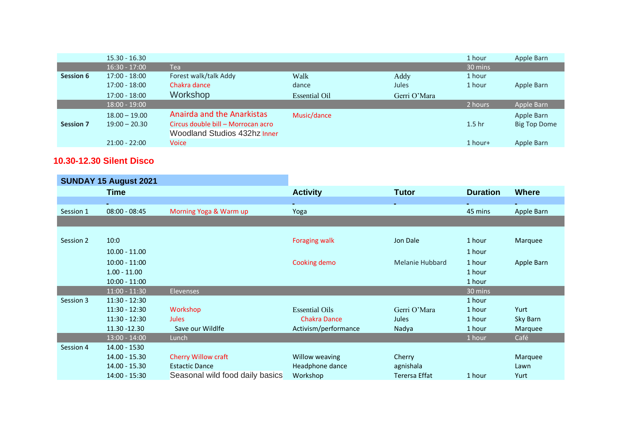|                  | $15.30 - 16.30$ |                                    |                      |              | 1 hour            | Apple Barn          |
|------------------|-----------------|------------------------------------|----------------------|--------------|-------------------|---------------------|
|                  | $16:30 - 17:00$ | Tea                                |                      |              | 30 mins           |                     |
| Session 6        | $17:00 - 18:00$ | Forest walk/talk Addy              | Walk                 | Addy         | 1 hour            |                     |
|                  | $17:00 - 18:00$ | Chakra dance                       | dance                | Jules        | 1 hour            | Apple Barn          |
|                  | $17:00 - 18:00$ | Workshop                           | <b>Essential Oil</b> | Gerri O'Mara |                   |                     |
|                  | $18:00 - 19:00$ |                                    |                      |              | 2 hours           | Apple Barn          |
|                  | $18.00 - 19.00$ | <b>Anairda and the Anarkistas</b>  | Music/dance          |              |                   | Apple Barn          |
| <b>Session 7</b> | $19:00 - 20.30$ | Circus double bill – Morrocan acro |                      |              | 1.5 <sub>hr</sub> | <b>Big Top Dome</b> |
|                  |                 | Woodland Studios 432hz Inner       |                      |              |                   |                     |
|                  | $21:00 - 22:00$ | Voice                              |                      |              | 1 hour+           | Apple Barn          |

## **10.30-12.30 Silent Disco**

| <b>SUNDAY 15 August 2021</b> |                 |                                 |                       |                        |                 |              |
|------------------------------|-----------------|---------------------------------|-----------------------|------------------------|-----------------|--------------|
|                              | <b>Time</b>     |                                 | <b>Activity</b>       | <b>Tutor</b>           | <b>Duration</b> | <b>Where</b> |
|                              |                 |                                 |                       |                        |                 |              |
| Session 1                    | $08:00 - 08:45$ | Morning Yoga & Warm up          | Yoga                  |                        | 45 mins         | Apple Barn   |
|                              |                 |                                 |                       |                        |                 |              |
|                              |                 |                                 |                       |                        |                 |              |
| Session 2                    | 10:0            |                                 | <b>Foraging walk</b>  | Jon Dale               | 1 hour          | Marquee      |
|                              | $10.00 - 11.00$ |                                 |                       |                        | 1 hour          |              |
|                              | $10:00 - 11:00$ |                                 | Cooking demo          | <b>Melanie Hubbard</b> | 1 hour          | Apple Barn   |
|                              | $1.00 - 11.00$  |                                 |                       |                        | 1 hour          |              |
|                              | $10:00 - 11:00$ |                                 |                       |                        | 1 hour          |              |
|                              | $11:00 - 11:30$ | <b>Elevenses</b>                |                       |                        | 30 mins         |              |
| Session 3                    | $11:30 - 12:30$ |                                 |                       |                        | 1 hour          |              |
|                              | $11:30 - 12:30$ | Workshop                        | <b>Essential Oils</b> | Gerri O'Mara           | 1 hour          | Yurt         |
|                              | $11:30 - 12:30$ | <b>Jules</b>                    | <b>Chakra Dance</b>   | <b>Jules</b>           | 1 hour          | Sky Barn     |
|                              | 11.30 - 12.30   | Save our Wildlfe                | Activism/performance  | Nadya                  | 1 hour          | Marquee      |
|                              | $13:00 - 14:00$ | Lunch                           |                       |                        | 1 hour          | Café         |
| Session 4                    | 14.00 - 1530    |                                 |                       |                        |                 |              |
|                              | 14.00 - 15.30   | <b>Cherry Willow craft</b>      | Willow weaving        | Cherry                 |                 | Marquee      |
|                              | 14.00 - 15.30   | <b>Estactic Dance</b>           | Headphone dance       | agnishala              |                 | Lawn         |
|                              | 14:00 - 15:30   | Seasonal wild food daily basics | Workshop              | Terersa Effat          | 1 hour          | Yurt         |